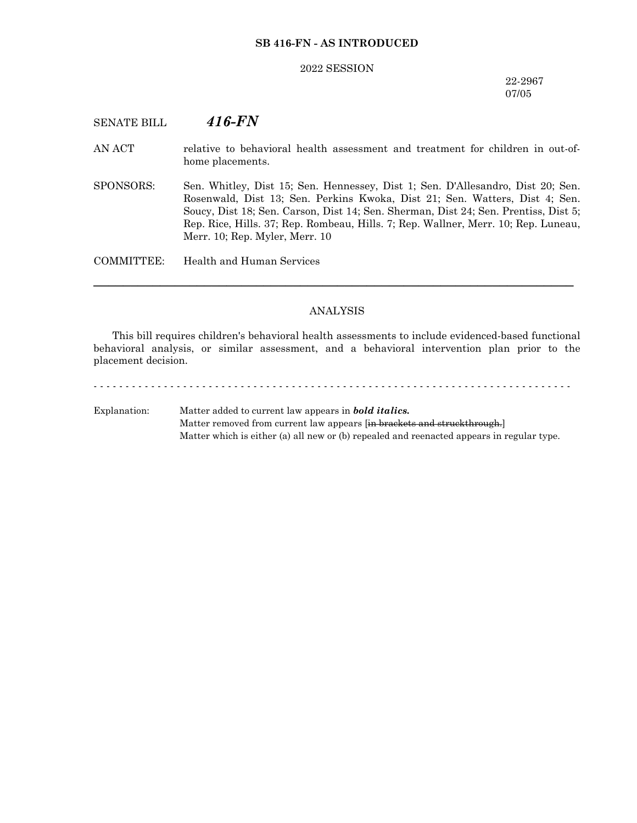## **SB 416-FN - AS INTRODUCED**

#### 2022 SESSION

## 22-2967 07/05

# SENATE BILL *416-FN*

- AN ACT relative to behavioral health assessment and treatment for children in out-ofhome placements.
- SPONSORS: Sen. Whitley, Dist 15; Sen. Hennessey, Dist 1; Sen. D'Allesandro, Dist 20; Sen. Rosenwald, Dist 13; Sen. Perkins Kwoka, Dist 21; Sen. Watters, Dist 4; Sen. Soucy, Dist 18; Sen. Carson, Dist 14; Sen. Sherman, Dist 24; Sen. Prentiss, Dist 5; Rep. Rice, Hills. 37; Rep. Rombeau, Hills. 7; Rep. Wallner, Merr. 10; Rep. Luneau, Merr. 10; Rep. Myler, Merr. 10

COMMITTEE: Health and Human Services

#### ANALYSIS

─────────────────────────────────────────────────────────────────

This bill requires children's behavioral health assessments to include evidenced-based functional behavioral analysis, or similar assessment, and a behavioral intervention plan prior to the placement decision.

# Explanation: Matter added to current law appears in *bold italics.* Matter removed from current law appears [in brackets and struckthrough.] Matter which is either (a) all new or (b) repealed and reenacted appears in regular type.

- - - - - - - - - - - - - - - - - - - - - - - - - - - - - - - - - - - - - - - - - - - - - - - - - - - - - - - - - - - - - - - - - - - - - - - - - - -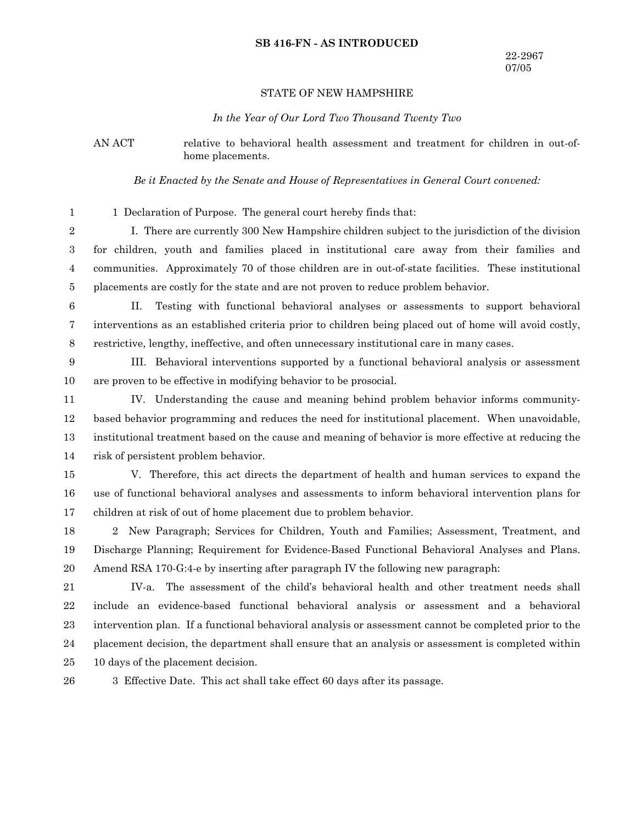#### **SB 416-FN - AS INTRODUCED**

#### STATE OF NEW HAMPSHIRE

#### *In the Year of Our Lord Two Thousand Twenty Two*

AN ACT relative to behavioral health assessment and treatment for children in out-ofhome placements.

*Be it Enacted by the Senate and House of Representatives in General Court convened:*

1 Declaration of Purpose. The general court hereby finds that: 1

I. There are currently 300 New Hampshire children subject to the jurisdiction of the division for children, youth and families placed in institutional care away from their families and communities. Approximately 70 of those children are in out-of-state facilities. These institutional placements are costly for the state and are not proven to reduce problem behavior. 2 3 4 5

6

II. Testing with functional behavioral analyses or assessments to support behavioral interventions as an established criteria prior to children being placed out of home will avoid costly, restrictive, lengthy, ineffective, and often unnecessary institutional care in many cases. 7 8

III. Behavioral interventions supported by a functional behavioral analysis or assessment are proven to be effective in modifying behavior to be prosocial. 9 10

IV. Understanding the cause and meaning behind problem behavior informs communitybased behavior programming and reduces the need for institutional placement. When unavoidable, institutional treatment based on the cause and meaning of behavior is more effective at reducing the risk of persistent problem behavior. 11 12 13 14

V. Therefore, this act directs the department of health and human services to expand the use of functional behavioral analyses and assessments to inform behavioral intervention plans for children at risk of out of home placement due to problem behavior. 15 16 17

2 New Paragraph; Services for Children, Youth and Families; Assessment, Treatment, and Discharge Planning; Requirement for Evidence-Based Functional Behavioral Analyses and Plans. Amend RSA 170-G:4-e by inserting after paragraph IV the following new paragraph: 18 19 20

IV-a. The assessment of the child's behavioral health and other treatment needs shall include an evidence-based functional behavioral analysis or assessment and a behavioral intervention plan. If a functional behavioral analysis or assessment cannot be completed prior to the placement decision, the department shall ensure that an analysis or assessment is completed within 10 days of the placement decision. 21 22 23 24 25

26

3 Effective Date. This act shall take effect 60 days after its passage.